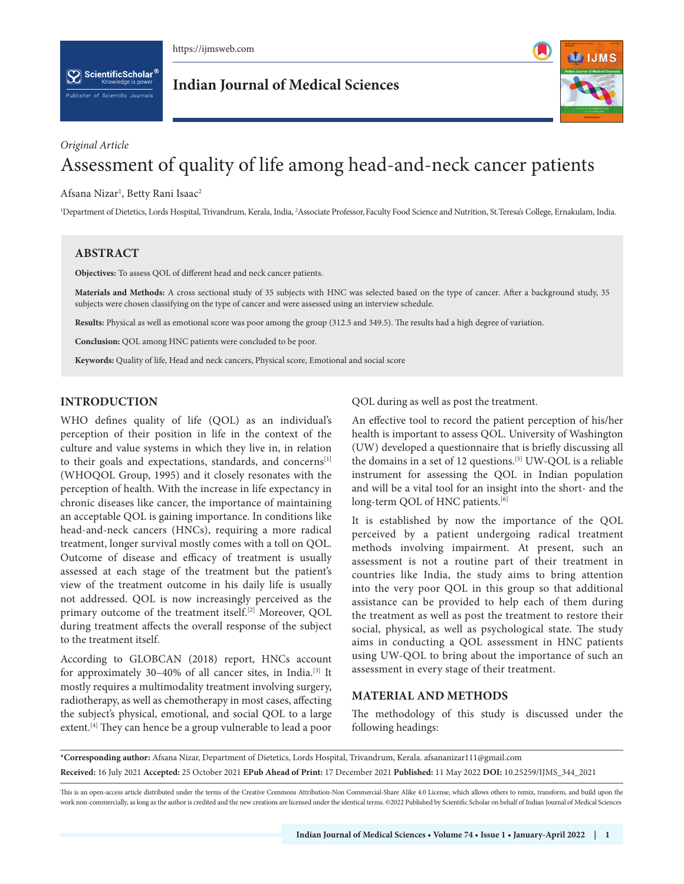https://ijmsweb.com

 $[\mathbf{\nabla}]$  ScientificScholar  $^{\mathbf{\epsilon}}$ blisher of Scientific Journals

**Indian Journal of Medical Sciences**



# *Original Article* Assessment of quality of life among head-and-neck cancer patients

Afsana Nizar<sup>1</sup>, Betty Rani Isaac<sup>2</sup>

<sup>1</sup>Department of Dietetics, Lords Hospital, Trivandrum, Kerala, India, <sup>2</sup>Associate Professor, Faculty Food Science and Nutrition, St.Teresa's College, Ernakulam, India.

## **ABSTRACT**

**Objectives:** To assess QOL of different head and neck cancer patients.

**Materials and Methods:** A cross sectional study of 35 subjects with HNC was selected based on the type of cancer. After a background study, 35 subjects were chosen classifying on the type of cancer and were assessed using an interview schedule.

**Results:** Physical as well as emotional score was poor among the group (312.5 and 349.5). The results had a high degree of variation.

**Conclusion:** QOL among HNC patients were concluded to be poor.

**Keywords:** Quality of life, Head and neck cancers, Physical score, Emotional and social score

## **INTRODUCTION**

WHO defines quality of life (QOL) as an individual's perception of their position in life in the context of the culture and value systems in which they live in, in relation to their goals and expectations, standards, and concerns<sup>[1]</sup> (WHOQOL Group, 1995) and it closely resonates with the perception of health. With the increase in life expectancy in chronic diseases like cancer, the importance of maintaining an acceptable QOL is gaining importance. In conditions like head-and-neck cancers (HNCs), requiring a more radical treatment, longer survival mostly comes with a toll on QOL. Outcome of disease and efficacy of treatment is usually assessed at each stage of the treatment but the patient's view of the treatment outcome in his daily life is usually not addressed. QOL is now increasingly perceived as the primary outcome of the treatment itself.<sup>[2]</sup> Moreover, QOL during treatment affects the overall response of the subject to the treatment itself.

According to GLOBCAN (2018) report, HNCs account for approximately 30–40% of all cancer sites, in India.[3] It mostly requires a multimodality treatment involving surgery, radiotherapy, as well as chemotherapy in most cases, affecting the subject's physical, emotional, and social QOL to a large extent.<sup>[4]</sup> They can hence be a group vulnerable to lead a poor QOL during as well as post the treatment.

An effective tool to record the patient perception of his/her health is important to assess QOL. University of Washington (UW) developed a questionnaire that is briefly discussing all the domains in a set of 12 questions.[5] UW-QOL is a reliable instrument for assessing the QOL in Indian population and will be a vital tool for an insight into the short- and the long-term QOL of HNC patients.<sup>[6]</sup>

It is established by now the importance of the QOL perceived by a patient undergoing radical treatment methods involving impairment. At present, such an assessment is not a routine part of their treatment in countries like India, the study aims to bring attention into the very poor QOL in this group so that additional assistance can be provided to help each of them during the treatment as well as post the treatment to restore their social, physical, as well as psychological state. The study aims in conducting a QOL assessment in HNC patients using UW-QOL to bring about the importance of such an assessment in every stage of their treatment.

## **MATERIAL AND METHODS**

The methodology of this study is discussed under the following headings:

**\*Corresponding author:** Afsana Nizar, Department of Dietetics, Lords Hospital, Trivandrum, Kerala. afsananizar111@gmail.com **Received:** 16 July 2021 **Accepted:** 25 October 2021 **EPub Ahead of Print:** 17 December 2021 **Published:** 11 May 2022 **DOI:** 10.25259/IJMS\_344\_2021

This is an open-access article distributed under the terms of the Creative Commons Attribution-Non Commercial-Share Alike 4.0 License, which allows others to remix, transform, and build upon the work non-commercially, as long as the author is credited and the new creations are licensed under the identical terms. ©2022 Published by Scientific Scholar on behalf of Indian Journal of Medical Sciences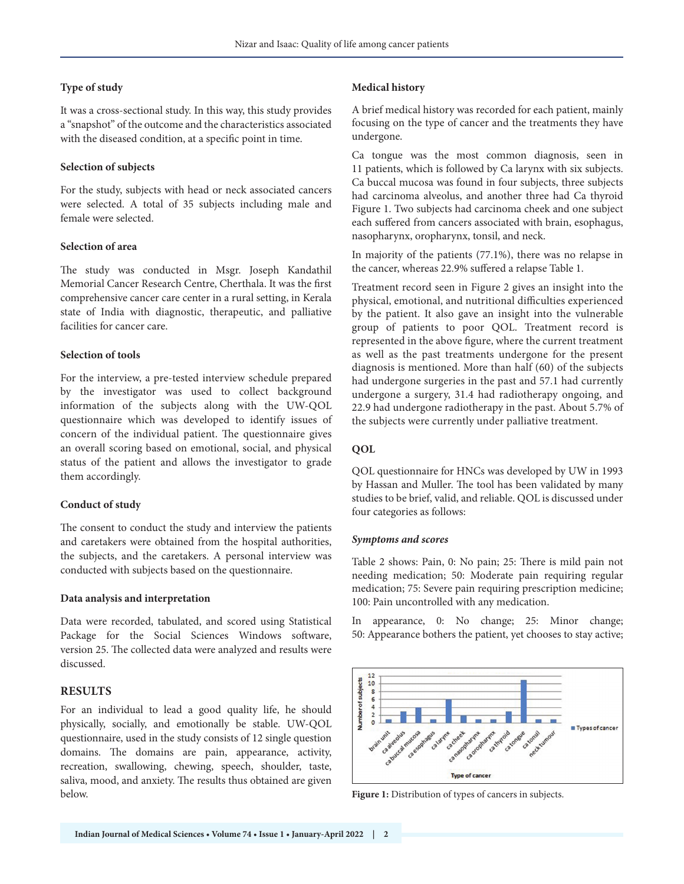#### **Type of study**

It was a cross-sectional study. In this way, this study provides a "snapshot" of the outcome and the characteristics associated with the diseased condition, at a specific point in time.

### **Selection of subjects**

For the study, subjects with head or neck associated cancers were selected. A total of 35 subjects including male and female were selected.

### **Selection of area**

The study was conducted in Msgr. Joseph Kandathil Memorial Cancer Research Centre, Cherthala. It was the first comprehensive cancer care center in a rural setting, in Kerala state of India with diagnostic, therapeutic, and palliative facilities for cancer care.

### **Selection of tools**

For the interview, a pre-tested interview schedule prepared by the investigator was used to collect background information of the subjects along with the UW-QOL questionnaire which was developed to identify issues of concern of the individual patient. The questionnaire gives an overall scoring based on emotional, social, and physical status of the patient and allows the investigator to grade them accordingly.

## **Conduct of study**

The consent to conduct the study and interview the patients and caretakers were obtained from the hospital authorities, the subjects, and the caretakers. A personal interview was conducted with subjects based on the questionnaire.

#### **Data analysis and interpretation**

Data were recorded, tabulated, and scored using Statistical Package for the Social Sciences Windows software, version 25. The collected data were analyzed and results were discussed.

## **RESULTS**

For an individual to lead a good quality life, he should physically, socially, and emotionally be stable. UW-QOL questionnaire, used in the study consists of 12 single question domains. The domains are pain, appearance, activity, recreation, swallowing, chewing, speech, shoulder, taste, saliva, mood, and anxiety. The results thus obtained are given below.

## **Medical history**

A brief medical history was recorded for each patient, mainly focusing on the type of cancer and the treatments they have undergone.

Ca tongue was the most common diagnosis, seen in 11 patients, which is followed by Ca larynx with six subjects. Ca buccal mucosa was found in four subjects, three subjects had carcinoma alveolus, and another three had Ca thyroid Figure 1. Two subjects had carcinoma cheek and one subject each suffered from cancers associated with brain, esophagus, nasopharynx, oropharynx, tonsil, and neck.

In majority of the patients (77.1%), there was no relapse in the cancer, whereas 22.9% suffered a relapse Table 1.

Treatment record seen in Figure 2 gives an insight into the physical, emotional, and nutritional difficulties experienced by the patient. It also gave an insight into the vulnerable group of patients to poor QOL. Treatment record is represented in the above figure, where the current treatment as well as the past treatments undergone for the present diagnosis is mentioned. More than half (60) of the subjects had undergone surgeries in the past and 57.1 had currently undergone a surgery, 31.4 had radiotherapy ongoing, and 22.9 had undergone radiotherapy in the past. About 5.7% of the subjects were currently under palliative treatment.

## **QOL**

QOL questionnaire for HNCs was developed by UW in 1993 by Hassan and Muller. The tool has been validated by many studies to be brief, valid, and reliable. QOL is discussed under four categories as follows:

## *Symptoms and scores*

Table 2 shows: Pain, 0: No pain; 25: There is mild pain not needing medication; 50: Moderate pain requiring regular medication; 75: Severe pain requiring prescription medicine; 100: Pain uncontrolled with any medication.

In appearance, 0: No change; 25: Minor change; 50: Appearance bothers the patient, yet chooses to stay active;



**Figure 1:** Distribution of types of cancers in subjects.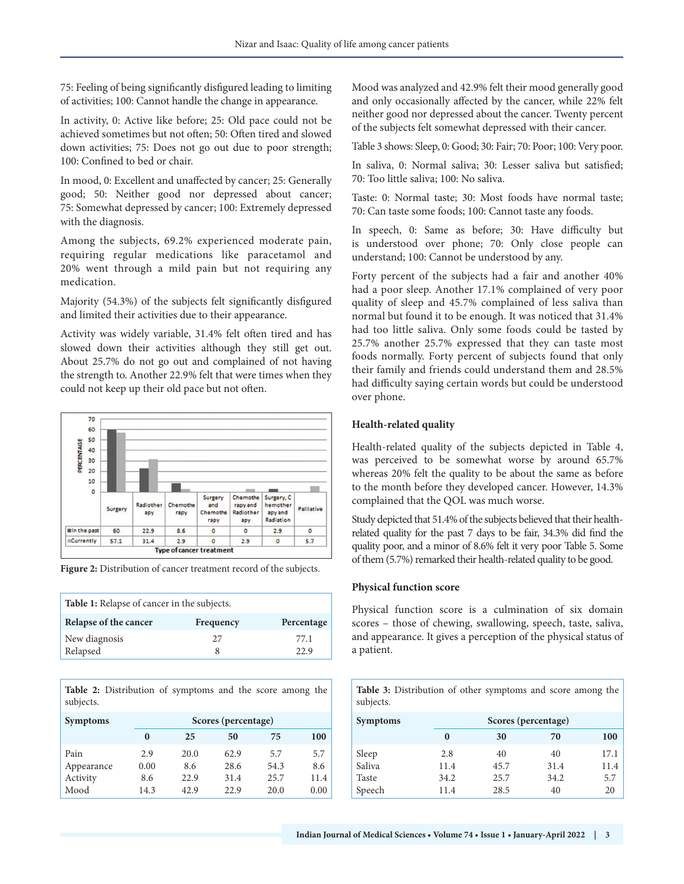75: Feeling of being significantly disfigured leading to limiting of activities; 100: Cannot handle the change in appearance.

In activity, 0: Active like before; 25: Old pace could not be achieved sometimes but not often; 50: Often tired and slowed down activities; 75: Does not go out due to poor strength; 100: Confined to bed or chair.

In mood, 0: Excellent and unaffected by cancer; 25: Generally good; 50: Neither good nor depressed about cancer; 75: Somewhat depressed by cancer; 100: Extremely depressed with the diagnosis.

Among the subjects, 69.2% experienced moderate pain, requiring regular medications like paracetamol and 20% went through a mild pain but not requiring any medication.

Majority (54.3%) of the subjects felt significantly disfigured and limited their activities due to their appearance.

Activity was widely variable, 31.4% felt often tired and has slowed down their activities although they still get out. About 25.7% do not go out and complained of not having the strength to. Another 22.9% felt that were times when they could not keep up their old pace but not often.



**Figure 2:** Distribution of cancer treatment record of the subjects.

| <b>Table 1:</b> Relapse of cancer in the subjects. |           |              |  |
|----------------------------------------------------|-----------|--------------|--|
| Relapse of the cancer                              | Frequency | Percentage   |  |
| New diagnosis<br>Relapsed                          | 27        | 77.1<br>22.9 |  |

**Table 2:** Distribution of symptoms and the score among the subjects.

| <b>Symptoms</b> |      | Scores (percentage) |      |      |      |  |
|-----------------|------|---------------------|------|------|------|--|
|                 | 0    | 25                  | 50   | 75   | 100  |  |
| Pain            | 2.9  | 20.0                | 62.9 | 5.7  | 5.7  |  |
| Appearance      | 0.00 | 8.6                 | 28.6 | 54.3 | 8.6  |  |
| Activity        | 8.6  | 22.9                | 31.4 | 25.7 | 11.4 |  |
| Mood            | 14.3 | 42.9                | 22.9 | 20.0 | 0.00 |  |

Mood was analyzed and 42.9% felt their mood generally good and only occasionally affected by the cancer, while 22% felt neither good nor depressed about the cancer. Twenty percent of the subjects felt somewhat depressed with their cancer.

Table 3 shows: Sleep, 0: Good; 30: Fair; 70: Poor; 100: Very poor.

In saliva, 0: Normal saliva; 30: Lesser saliva but satisfied; 70: Too little saliva; 100: No saliva.

Taste: 0: Normal taste; 30: Most foods have normal taste; 70: Can taste some foods; 100: Cannot taste any foods.

In speech, 0: Same as before; 30: Have difficulty but is understood over phone; 70: Only close people can understand; 100: Cannot be understood by any.

Forty percent of the subjects had a fair and another 40% had a poor sleep. Another 17.1% complained of very poor quality of sleep and 45.7% complained of less saliva than normal but found it to be enough. It was noticed that 31.4% had too little saliva. Only some foods could be tasted by 25.7% another 25.7% expressed that they can taste most foods normally. Forty percent of subjects found that only their family and friends could understand them and 28.5% had difficulty saying certain words but could be understood over phone.

### **Health-related quality**

Health-related quality of the subjects depicted in Table 4, was perceived to be somewhat worse by around 65.7% whereas 20% felt the quality to be about the same as before to the month before they developed cancer. However, 14.3% complained that the QOL was much worse.

Study depicted that 51.4% of the subjects believed that their healthrelated quality for the past 7 days to be fair, 34.3% did find the quality poor, and a minor of 8.6% felt it very poor Table 5. Some of them (5.7%) remarked their health-related quality to be good.

### **Physical function score**

Physical function score is a culmination of six domain scores – those of chewing, swallowing, speech, taste, saliva, and appearance. It gives a perception of the physical status of a patient.

**Table 3:** Distribution of other symptoms and score among the subjects.

| <b>Symptoms</b> |      | Scores (percentage) |      |      |  |
|-----------------|------|---------------------|------|------|--|
|                 | 0    | 30                  | 70   | 100  |  |
| Sleep           | 2.8  | 40                  | 40   | 17.1 |  |
| Saliva          | 11.4 | 45.7                | 31.4 | 11.4 |  |
| Taste           | 34.2 | 25.7                | 34.2 | 5.7  |  |
| Speech          | 11.4 | 28.5                | 40   | 20   |  |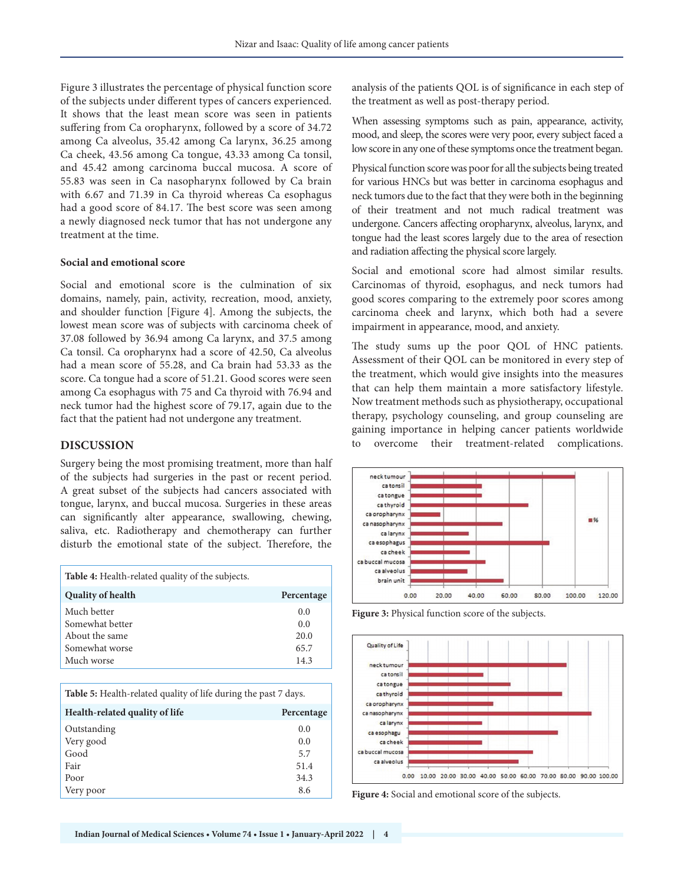Figure 3 illustrates the percentage of physical function score of the subjects under different types of cancers experienced. It shows that the least mean score was seen in patients suffering from Ca oropharynx, followed by a score of 34.72 among Ca alveolus, 35.42 among Ca larynx, 36.25 among Ca cheek, 43.56 among Ca tongue, 43.33 among Ca tonsil, and 45.42 among carcinoma buccal mucosa. A score of 55.83 was seen in Ca nasopharynx followed by Ca brain with 6.67 and 71.39 in Ca thyroid whereas Ca esophagus had a good score of 84.17. The best score was seen among a newly diagnosed neck tumor that has not undergone any treatment at the time.

#### **Social and emotional score**

Social and emotional score is the culmination of six domains, namely, pain, activity, recreation, mood, anxiety, and shoulder function [Figure 4]. Among the subjects, the lowest mean score was of subjects with carcinoma cheek of 37.08 followed by 36.94 among Ca larynx, and 37.5 among Ca tonsil. Ca oropharynx had a score of 42.50, Ca alveolus had a mean score of 55.28, and Ca brain had 53.33 as the score. Ca tongue had a score of 51.21. Good scores were seen among Ca esophagus with 75 and Ca thyroid with 76.94 and neck tumor had the highest score of 79.17, again due to the fact that the patient had not undergone any treatment.

## **DISCUSSION**

Surgery being the most promising treatment, more than half of the subjects had surgeries in the past or recent period. A great subset of the subjects had cancers associated with tongue, larynx, and buccal mucosa. Surgeries in these areas can significantly alter appearance, swallowing, chewing, saliva, etc. Radiotherapy and chemotherapy can further disturb the emotional state of the subject. Therefore, the

| <b>Table 4:</b> Health-related quality of the subjects. |            |
|---------------------------------------------------------|------------|
| <b>Quality of health</b>                                | Percentage |
| Much better                                             | 0.0        |
| Somewhat better                                         | 0.0        |
| About the same                                          | 20.0       |
| Somewhat worse                                          | 65.7       |
| Much worse                                              | 14.3       |

**Table 5:** Health-related quality of life during the past 7 days.

| Health-related quality of life | Percentage |
|--------------------------------|------------|
| Outstanding                    | 0.0        |
| Very good                      | 0.0        |
| Good                           | 5.7        |
| Fair                           | 51.4       |
| Poor                           | 34.3       |
| Very poor                      | 8.6        |

analysis of the patients QOL is of significance in each step of the treatment as well as post-therapy period.

When assessing symptoms such as pain, appearance, activity, mood, and sleep, the scores were very poor, every subject faced a low score in any one of these symptoms once the treatment began.

Physical function score was poor for all the subjects being treated for various HNCs but was better in carcinoma esophagus and neck tumors due to the fact that they were both in the beginning of their treatment and not much radical treatment was undergone. Cancers affecting oropharynx, alveolus, larynx, and tongue had the least scores largely due to the area of resection and radiation affecting the physical score largely.

Social and emotional score had almost similar results. Carcinomas of thyroid, esophagus, and neck tumors had good scores comparing to the extremely poor scores among carcinoma cheek and larynx, which both had a severe impairment in appearance, mood, and anxiety.

The study sums up the poor QOL of HNC patients. Assessment of their QOL can be monitored in every step of the treatment, which would give insights into the measures that can help them maintain a more satisfactory lifestyle. Now treatment methods such as physiotherapy, occupational therapy, psychology counseling, and group counseling are gaining importance in helping cancer patients worldwide to overcome their treatment-related complications.



**Figure 3:** Physical function score of the subjects.



**Figure 4:** Social and emotional score of the subjects.